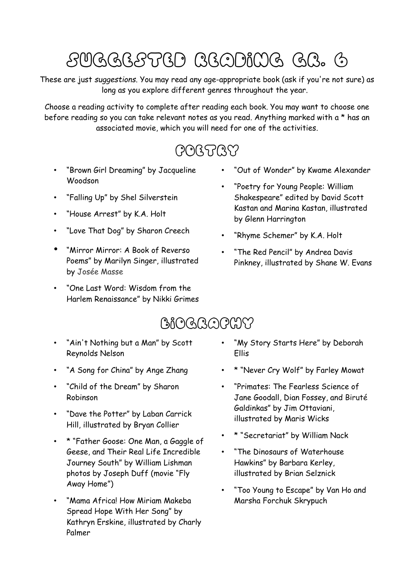# Suggested Reading Gr. 6

These are just *suggestions*. You may read any age-appropriate book (ask if you're not sure) as long as you explore different genres throughout the year.

Choose a reading activity to complete after reading each book. You may want to choose one before reading so you can take relevant notes as you read. Anything marked with a \* has an associated movie, which you will need for one of the activities.

## **POGTRY**

- "Brown Girl Dreaming" by Jacqueline Woodson
- "Falling Up" by Shel Silverstein
- "House Arrest" by K.A. Holt
- "Love That Dog" by Sharon Creech
- "Mirror Mirror: A Book of Reverso Poems" by Marilyn Singer, illustrated by [Josée Masse](https://www.goodreads.com/author/show/2737822.Jos_e_Masse)
- "One Last Word: Wisdom from the Harlem Renaissance" by Nikki Grimes
- "Out of Wonder" by Kwame Alexander
- "Poetry for Young People: William Shakespeare" edited by David Scott Kastan and Marina Kastan, illustrated by Glenn Harrington
- "Rhyme Schemer" by K.A. Holt
- "The Red Pencil" by Andrea Davis Pinkney, illustrated by Shane W. Evans

#### **BiOGRAPHY**

- "Ain't Nothing but a Man" by Scott Reynolds Nelson
- "A Song for China" by Ange Zhang
- "Child of the Dream" by Sharon Robinson
- "Dave the Potter" by Laban Carrick Hill, illustrated by Bryan Collier
- \* "Father Goose: One Man, a Gaggle of Geese, and Their Real Life Incredible Journey South" by William Lishman photos by Joseph Duff (movie "Fly Away Home")
- "Mama Africa! How Miriam Makeba Spread Hope With Her Song" by Kathryn Erskine, illustrated by Charly Palmer
- "My Story Starts Here" by Deborah Ellis
- \* "Never Cry Wolf" by Farley Mowat
- "Primates: The Fearless Science of Jane Goodall, Dian Fossey, and Biruté Galdinkas" by Jim Ottaviani, illustrated by Maris Wicks
- \* "Secretariat" by William Nack
- "The Dinosaurs of Waterhouse Hawkins" by Barbara Kerley, illustrated by Brian Selznick
- "Too Young to Escape" by Van Ho and Marsha Forchuk Skrypuch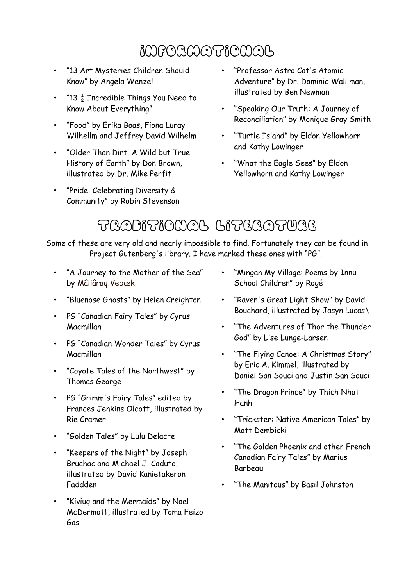## Informational

- "13 Art Mysteries Children Should Know" by Angela Wenzel
- "13  $\frac{1}{2}$  Incredible Things You Need to Know About Everything"
- "Food" by Erika Boas, Fiona Luray Wilhellm and Jeffrey David Wilhelm
- "Older Than Dirt: A Wild but True History of Earth" by Don Brown, illustrated by Dr. Mike Perfit
- "Pride: Celebrating Diversity & Community" by Robin Stevenson
- "Professor Astro Cat's Atomic Adventure" by Dr. Dominic Walliman, illustrated by Ben Newman
- "Speaking Our Truth: A Journey of Reconciliation" by Monique Gray Smith
- "Turtle Island" by Eldon Yellowhorn and Kathy Lowinger
- "What the Eagle Sees" by Eldon Yellowhorn and Kathy Lowinger

## Traditional Literature

Some of these are very old and nearly impossible to find. Fortunately they can be found in Project Gutenberg's library. I have marked these ones with "PG".

- "A Journey to the Mother of the Sea" by Mâliâraq Vebæk
- "Bluenose Ghosts" by Helen Creighton
- PG "Canadian Fairy Tales" by Cyrus Macmillan
- PG "Canadian Wonder Tales" by Cyrus Macmillan
- "Coyote Tales of the Northwest" by Thomas George
- PG "Grimm's Fairy Tales" edited by Frances Jenkins Olcott, illustrated by Rie Cramer
- "Golden Tales" by Lulu Delacre
- "Keepers of the Night" by Joseph Bruchac and Michael J. Caduto, illustrated by David Kanietakeron Faddden
- "Kiviuq and the Mermaids" by Noel McDermott, illustrated by Toma Feizo Gas
- "Mingan My Village: Poems by Innu School Children" by Roge
- "Raven's Great Light Show" by David Bouchard, illustrated by Jasyn Lucas\
- "The Adventures of Thor the Thunder God" by Lise Lunge-Larsen
- "The Flying Canoe: A Christmas Story" by Eric A. Kimmel, illustrated by Daniel San Souci and Justin San Souci
- "The Dragon Prince" by Thich Nhat Hanh
- "Trickster: Native American Tales" by Matt Dembicki
- "The Golden Phoenix and other French Canadian Fairy Tales" by Marius Barbeau
- "The Manitous" by Basil Johnston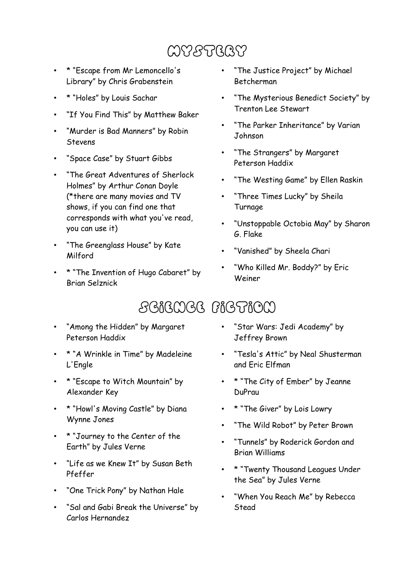## Mystery

- \* "Escape from Mr Lemoncello's Library" by Chris Grabenstein
- \* "Holes" by Louis Sachar
- "If You Find This" by Matthew Baker
- "Murder is Bad Manners" by Robin Stevens
- "Space Case" by Stuart Gibbs
- "The Great Adventures of Sherlock Holmes" by Arthur Conan Doyle (\*there are many movies and TV shows, if you can find one that corresponds with what you've read, you can use it)
- "The Greenglass House" by Kate Milford
- \* "The Invention of Hugo Cabaret" by Brian Selznick
- "The Justice Project" by Michael Betcherman
- "The Mysterious Benedict Society" by Trenton Lee Stewart
- "The Parker Inheritance" by Varian Johnson
- "The Strangers" by Margaret Peterson Haddix
- "The Westing Game" by Ellen Raskin
- "Three Times Lucky" by Sheila Turnage
- "Unstoppable Octobia May" by Sharon G. Flake
- "Vanished" by Sheela Chari
- "Who Killed Mr. Boddy?" by Eric Weiner

## Science Fiction

- "Among the Hidden" by Margaret Peterson Haddix
- \* "A Wrinkle in Time" by Madeleine L'Engle
- \* "Escape to Witch Mountain" by Alexander Key
- \* "Howl's Moving Castle" by Diana Wynne Jones
- \* "Journey to the Center of the Earth" by Jules Verne
- "Life as we Knew It" by Susan Beth Pfeffer
- "One Trick Pony" by Nathan Hale
- "Sal and Gabi Break the Universe" by Carlos Hernandez
- "Star Wars: Jedi Academy" by Jeffrey Brown
- "Tesla's Attic" by Neal Shusterman and Eric Elfman
- \* "The City of Ember" by Jeanne DuPrau
- \* "The Giver" by Lois Lowry
- "The Wild Robot" by Peter Brown
- "Tunnels" by Roderick Gordon and Brian Williams
- \* "Twenty Thousand Leagues Under the Sea" by Jules Verne
- "When You Reach Me" by Rebecca Stead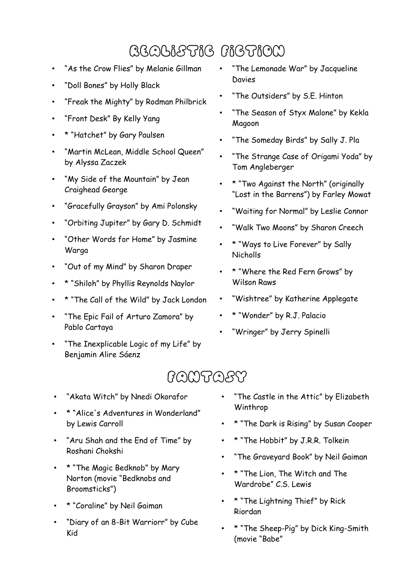# Realistic Fiction

- "As the Crow Flies" by Melanie Gillman
- "Doll Bones" by Holly Black
- "Freak the Mighty" by Rodman Philbrick
- "Front Desk" By Kelly Yang
- \* "Hatchet" by Gary Paulsen
- "Martin McLean, Middle School Queen" by Alyssa Zaczek
- "My Side of the Mountain" by Jean Craighead George
- "Gracefully Grayson" by Ami Polonsky
- "Orbiting Jupiter" by Gary D. Schmidt
- "Other Words for Home" by Jasmine Warga
- "Out of my Mind" by Sharon Draper
- \* "Shiloh" by Phyllis Reynolds Naylor
- \* "The Call of the Wild" by Jack London
- "The Epic Fail of Arturo Zamora" by Pablo Cartaya
- "The Inexplicable Logic of my Life" by Benjamin Alire Sáenz
- "The Lemonade War" by Jacqueline Davies
- "The Outsiders" by S.E. Hinton
- "The Season of Styx Malone" by Kekla Magoon
- "The Someday Birds" by Sally J. Pla
- "The Strange Case of Origami Yoda" by Tom Angleberger
- \* "Two Against the North" (originally "Lost in the Barrens") by Farley Mowat
- "Waiting for Normal" by Leslie Connor
- "Walk Two Moons" by Sharon Creech
- \* "Ways to Live Forever" by Sally Nicholls
- \* "Where the Red Fern Grows" by Wilson Raws
- "Wishtree" by Katherine Applegate
- \* "Wonder" by R.J. Palacio
- "Wringer" by Jerry Spinelli

#### Fantasy

- "Akata Witch" by Nnedi Okorafor
- \* "Alice's Adventures in Wonderland" by Lewis Carroll
- "Aru Shah and the End of Time" by Roshani Chokshi
- \* "The Magic Bedknob" by Mary Norton (movie "Bedknobs and Broomsticks")
- \* "Coraline" by Neil Gaiman
- "Diary of an 8-Bit Warriorr" by Cube Kid
- "The Castle in the Attic" by Elizabeth Winthrop
- \* "The Dark is Rising" by Susan Cooper
- \* "The Hobbit" by J.R.R. Tolkein
- "The Graveyard Book" by Neil Gaiman
- \* "The Lion, The Witch and The Wardrobe" C.S. Lewis
- \* "The Lightning Thief" by Rick Riordan
- \* "The Sheep-Pig" by Dick King-Smith (movie "Babe"